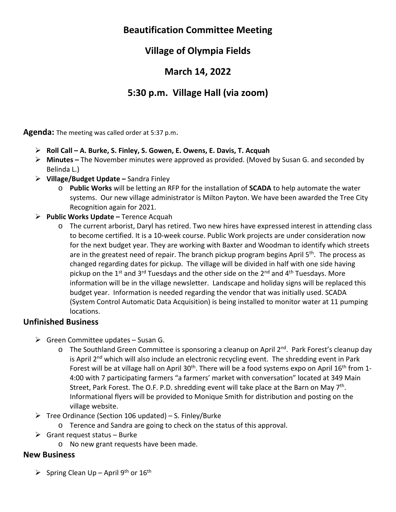# **Beautification Committee Meeting**

# **Village of Olympia Fields**

### **March 14, 2022**

# **5:30 p.m. Village Hall (via zoom)**

**Agenda:** The meeting was called order at 5:37 p.m.

- **Roll Call A. Burke, S. Finley, S. Gowen, E. Owens, E. Davis, T. Acquah**
- **Minutes** The November minutes were approved as provided. (Moved by Susan G. and seconded by Belinda L.)
- **Village/Budget Update** Sandra Finley
	- o **Public Works** will be letting an RFP for the installation of **SCADA** to help automate the water systems. Our new village administrator is Milton Payton. We have been awarded the Tree City Recognition again for 2021.
- **Public Works Update** Terence Acquah
	- o The current arborist, Daryl has retired. Two new hires have expressed interest in attending class to become certified. It is a 10‐week course. Public Work projects are under consideration now for the next budget year. They are working with Baxter and Woodman to identify which streets are in the greatest need of repair. The branch pickup program begins April  $5<sup>th</sup>$ . The process as changed regarding dates for pickup. The village will be divided in half with one side having pickup on the  $1<sup>st</sup>$  and  $3<sup>rd</sup>$  Tuesdays and the other side on the  $2<sup>nd</sup>$  and  $4<sup>th</sup>$  Tuesdays. More information will be in the village newsletter. Landscape and holiday signs will be replaced this budget year. Information is needed regarding the vendor that was initially used. SCADA (System Control Automatic Data Acquisition) is being installed to monitor water at 11 pumping locations.

#### **Unfinished Business**

- $\triangleright$  Green Committee updates Susan G.
	- $\circ$  The Southland Green Committee is sponsoring a cleanup on April 2<sup>nd</sup>. Park Forest's cleanup day is April 2<sup>nd</sup> which will also include an electronic recycling event. The shredding event in Park Forest will be at village hall on April 30<sup>th</sup>. There will be a food systems expo on April 16<sup>th</sup> from 1-4:00 with 7 participating farmers "a farmers' market with conversation" located at 349 Main Street, Park Forest. The O.F. P.D. shredding event will take place at the Barn on May  $7<sup>th</sup>$ . Informational flyers will be provided to Monique Smith for distribution and posting on the village website.
- $\triangleright$  Tree Ordinance (Section 106 updated) S. Finley/Burke
	- o Terence and Sandra are going to check on the status of this approval.
- $\triangleright$  Grant request status Burke
	- o No new grant requests have been made.

#### **New Business**

Spring Clean Up – April 9<sup>th</sup> or  $16^{th}$